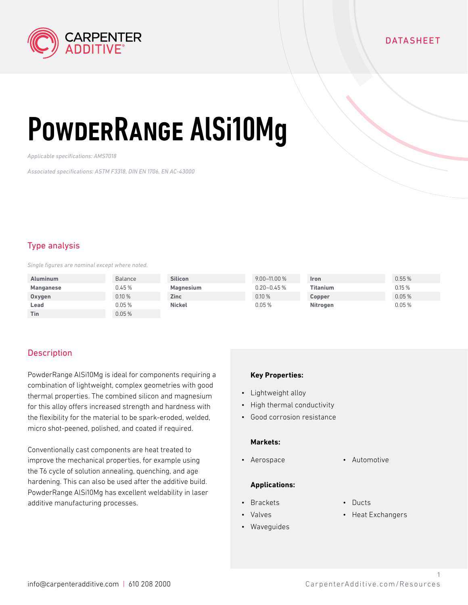

## DATASHEET

# PowderRange AlSi10Mg

*Applicable specifications: AMS7018*

*Associated specifications: ASTM F3318, DIN EN 1706, EN AC-43000*

## Type analysis

*Single figures are nominal except where noted.*

| <b>Aluminum</b> | Balance | <b>Silicon</b> | $9.00 - 11.00 %$ | <b>Iron</b> | 0.55% |
|-----------------|---------|----------------|------------------|-------------|-------|
| Manganese       | 0.45%   | Magnesium      | $0.20 - 0.45%$   | Titanium    | 0.15% |
| Oxygen          | 0.10%   | <b>Zinc</b>    | 0.10%            | Copper      | 0.05% |
| Lead            | 0.05%   | <b>Nickel</b>  | 0.05%            | Nitrogen    | 0.05% |
| Tin             | 0.05%   |                |                  |             |       |

## **Description**

PowderRange AlSi10Mg is ideal for components requiring a combination of lightweight, complex geometries with good thermal properties. The combined silicon and magnesium for this alloy offers increased strength and hardness with the flexibility for the material to be spark-eroded, welded, micro shot-peened, polished, and coated if required.

Conventionally cast components are heat treated to improve the mechanical properties, for example using the T6 cycle of solution annealing, quenching, and age hardening. This can also be used after the additive build. PowderRange AlSi10Mg has excellent weldability in laser additive manufacturing processes.

### **Key Properties:**

- Lightweight alloy
- High thermal conductivity
- Good corrosion resistance

### **Markets:**

• Aerospace • Automotive

#### **Applications:**

- Brackets
- Valves
- Waveguides
- Ducts
- Heat Exchangers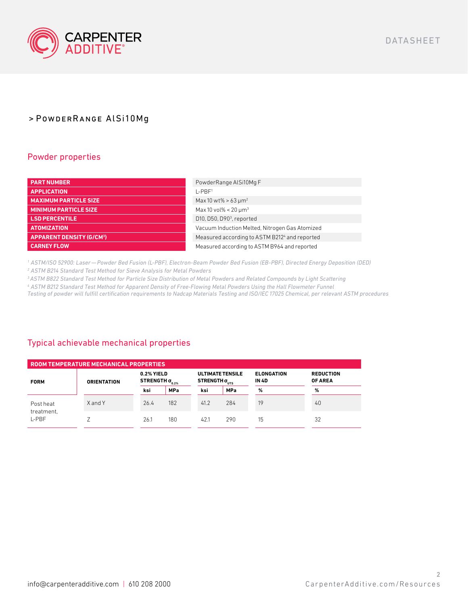

## > PowderRange AlSi10Mg

## Powder properties

| <b>PART NUMBER</b>                         | PowderRange AlSi10Mg F                         |
|--------------------------------------------|------------------------------------------------|
| <b>APPLICATION</b>                         | $I-PRF1$                                       |
| <b>MAXIMUM PARTICLE SIZE</b>               | Max 10 wt% > 63 $\mu$ m <sup>2</sup>           |
| <b>MINIMUM PARTICLE SIZE</b>               | Max 10 vol% < 20 $\mu$ m <sup>3</sup>          |
| <b>LSD PERCENTILE</b>                      | D10, D50, D90 <sup>3</sup> , reported          |
| <b>ATOMIZATION</b>                         | Vacuum Induction Melted, Nitrogen Gas Atomized |
| <b>APPARENT DENSITY (G/CM<sup>3</sup>)</b> | Measured according to ASTM B2124 and reported  |
| <b>CARNEY FLOW</b>                         | Measured according to ASTM B964 and reported   |

*1 ASTM/ISO 52900: Laser — Powder Bed Fusion (L-PBF), Electron-Beam Powder Bed Fusion (EB-PBF), Directed Energy Deposition (DED) 2 ASTM B214 Standard Test Method for Sieve Analysis for Metal Powders* 

*<sup>3</sup>ASTM B822 Standard Test Method for Particle Size Distribution of Metal Powders and Related Compounds by Light Scattering* 

*4 ASTM B212 Standard Test Method for Apparent Density of Free-Flowing Metal Powders Using the Hall Flowmeter Funnel* 

*Testing of powder will fulfill certification requirements to Nadcap Materials Testing and ISO/IEC 17025 Chemical, per relevant ASTM procedures*

## Typical achievable mechanical properties

| ROOM TEMPERATURE MECHANICAL PROPERTIES |                    |      |                                            |      |                                                            |                                   |                                    |  |  |  |  |
|----------------------------------------|--------------------|------|--------------------------------------------|------|------------------------------------------------------------|-----------------------------------|------------------------------------|--|--|--|--|
| <b>FORM</b>                            | <b>ORIENTATION</b> |      | 0.2% YIELD<br>STRENGTH $\sigma_{_{0.2\%}}$ |      | <b>ULTIMATE TENSILE</b><br>STRENGTH $\sigma_{\text{tric}}$ | <b>ELONGATION</b><br><b>IN 4D</b> | <b>REDUCTION</b><br><b>OF AREA</b> |  |  |  |  |
|                                        |                    | ksi  | <b>MPa</b>                                 | ksi  | <b>MPa</b>                                                 | %                                 | %                                  |  |  |  |  |
| Post heat<br>treatment,<br>L-PBF       | XandY              | 26.4 | 182                                        | 41.2 | 284                                                        | 19                                | 40                                 |  |  |  |  |
|                                        |                    | 26.1 | 180                                        | 42.1 | 290                                                        | 15                                | 32                                 |  |  |  |  |